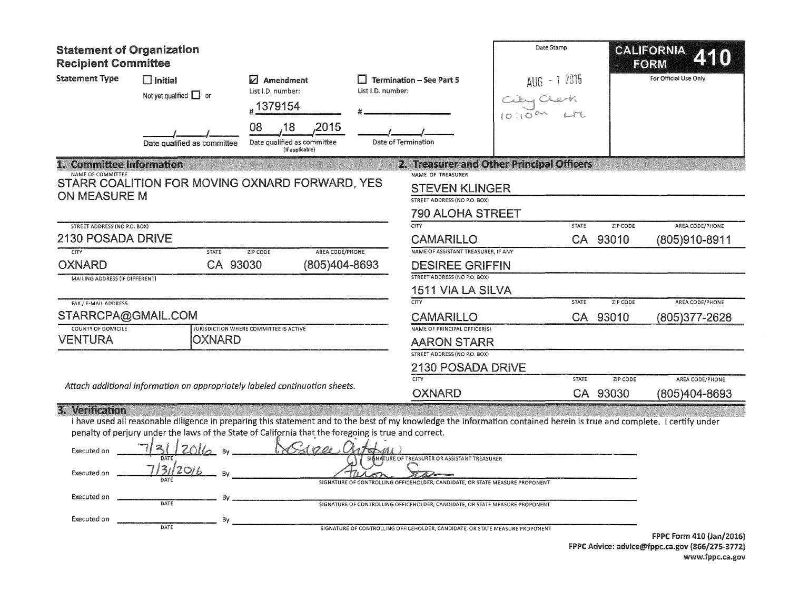| <b>Statement of Organization</b><br><b>Recipient Committee</b>              |                                                                              |                                                                                                                                                                                                                                                                                         |                   |                                                                                                                                                                                                                                                                                               | Date Stamp |                |                             | CALIFORNIA<br>FORM               |
|-----------------------------------------------------------------------------|------------------------------------------------------------------------------|-----------------------------------------------------------------------------------------------------------------------------------------------------------------------------------------------------------------------------------------------------------------------------------------|-------------------|-----------------------------------------------------------------------------------------------------------------------------------------------------------------------------------------------------------------------------------------------------------------------------------------------|------------|----------------|-----------------------------|----------------------------------|
| <b>Statement Type</b>                                                       | $\Box$ Initial<br>Not yet qualified $\Box$ or<br>Date qualified as committee | $\nabla$ Amendment<br>List I.D. number:<br>#1379154<br>08<br>,2015<br>,18<br>Date qualified as committee<br>(If applicable)                                                                                                                                                             | List I.D. number: | $\Box$ Termination - See Part 5<br>Date of Termination                                                                                                                                                                                                                                        |            | $AUB - 1$ 2016 |                             | For Official Use Only            |
| 1. Committee Information                                                    |                                                                              |                                                                                                                                                                                                                                                                                         |                   | 2. Treasurer and Other Principal Officers                                                                                                                                                                                                                                                     |            |                |                             |                                  |
| NAME OF COMMITTEE<br><b>ON MEASURE M</b>                                    |                                                                              | STARR COALITION FOR MOVING OXNARD FORWARD, YES                                                                                                                                                                                                                                          |                   | NAME OF TREASURER<br><b>STEVEN KLINGER</b><br>STREET ADDRESS (NO P.O. BOX)<br><b>790 ALOHA STREET</b>                                                                                                                                                                                         |            |                |                             |                                  |
| <b>STREET ADDRESS (NO P.O. BOX)</b>                                         |                                                                              |                                                                                                                                                                                                                                                                                         |                   | CTY                                                                                                                                                                                                                                                                                           |            | <b>STATE</b>   | ZIP CODE                    | AREA CODE/PHONE                  |
| <b>2130 POSADA DRIVE</b>                                                    |                                                                              |                                                                                                                                                                                                                                                                                         |                   | <b>CAMARILLO</b>                                                                                                                                                                                                                                                                              |            | CA             | 93010                       | (805)910-8911                    |
| CITY<br><b>OXNARD</b><br><b>MAILING ADDRESS (IF DIFFERENT)</b>              | <b>STATE</b><br>CA 93030                                                     | AREA CODE/PHONE<br><b>ZIP CODE</b><br>(805)404-8693                                                                                                                                                                                                                                     |                   | NAME OF ASSISTANT TREASURER, IF ANY<br><b>DESIREE GRIFFIN</b><br><b>STREET ADDRESS (NO P.O. BOX)</b>                                                                                                                                                                                          |            |                |                             |                                  |
|                                                                             |                                                                              |                                                                                                                                                                                                                                                                                         |                   | 1511 VIA LA SILVA                                                                                                                                                                                                                                                                             |            |                |                             |                                  |
| FAX / E-MAIL ADDRESS<br>STARRCPA@GMAIL.COM<br><b>COUNTY OF DOMICILE</b>     |                                                                              | JURISDICTION WHERE COMMITTEE IS ACTIVE                                                                                                                                                                                                                                                  |                   | $\overline{\text{CITY}}$<br><b>CAMARILLO</b><br>NAME OF PRINCIPAL OFFICER(S)                                                                                                                                                                                                                  |            | <b>STATE</b>   | ZIP CODE<br>CA 93010        | AREA CODE/PHONE<br>(805)377-2628 |
| <b>VENTURA</b>                                                              | <b>OXNARD</b>                                                                |                                                                                                                                                                                                                                                                                         |                   | <b>AARON STARR</b>                                                                                                                                                                                                                                                                            |            |                |                             |                                  |
|                                                                             |                                                                              |                                                                                                                                                                                                                                                                                         |                   | STREET ADDRESS (NO P.O. BOX)<br>2130 POSADA DRIVE                                                                                                                                                                                                                                             |            |                |                             |                                  |
|                                                                             |                                                                              | Attach additional information on appropriately labeled continuation sheets.                                                                                                                                                                                                             |                   | <b>CITY</b><br><b>OXNARD</b>                                                                                                                                                                                                                                                                  |            | <b>STATE</b>   | <b>ZIP CODE</b><br>CA 93030 | AREA CODE/PHONE<br>(805)404-8693 |
| 3. Verification<br>Executed on<br>Executed on<br>Executed on<br>Executed on | 312016<br>Bv<br>By<br>DATE<br>By<br>DATE                                     | I have used all reasonable diligence in preparing this statement and to the best of my knowledge the information contained herein is true and complete. I certify under<br>penalty of perjury under the laws of the State of California that the foregoing is true and correct.<br>1000 |                   | SIGNATURE OF TREASURER OR ASSISTANT TREASURER<br>SIGNATURE OF CONTROLLING OFFICEHOLDER, CANDIDATE, OR STATE MEASURE PROPONENT<br>SIGNATURE OF CONTROLLING OFFICEHOLDER, CANDIDATE, OR STATE MEASURE PROPONENT<br>SIGNATURE OF CONTROLLING OFFICEHOLDER, CANDIDATE, OR STATE MEASURE PROPONENT |            |                |                             |                                  |

FPPC Form 410 (Jan/2016) FPPC Advice: advice@fppc.ca.gov (866/275-3772) www.fppc.ca.gov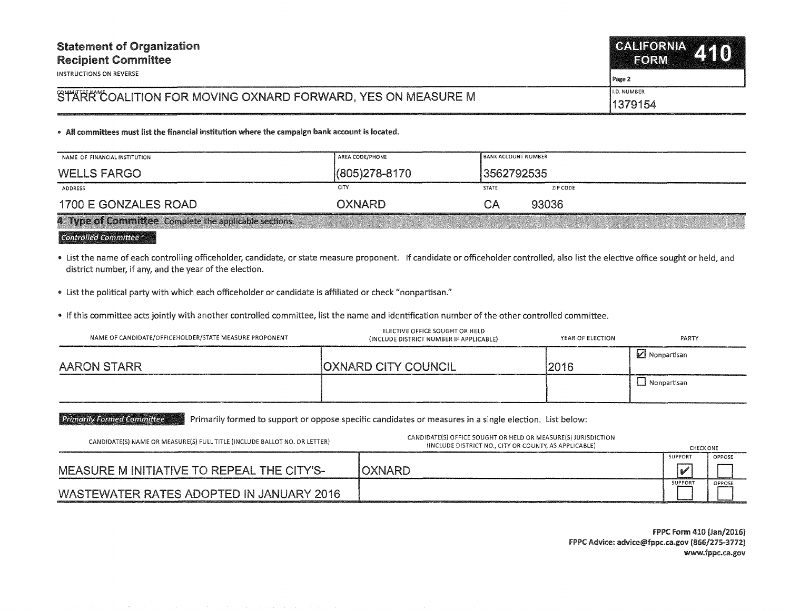INSTRUCTIONS ON REVERSE

## Page 2

## STARK COALITION FOR MOVING OXNARD FORWARD, YES ON MEASURE M

l.D. NUMBER 1379154

• All committees must list the financial institution where the campaign bank account is located.

| NAME OF FINANCIAL INSTITUTION                          | AREA CODE/PHONE   | <b>BANK ACCOUNT NUMBER</b> |  |  |  |
|--------------------------------------------------------|-------------------|----------------------------|--|--|--|
| <b>WELLS FARGO</b>                                     | $(805)278 - 8170$ | 13562792535                |  |  |  |
| ADDRESS                                                | CITY              | ZIP CODE<br><b>STATE</b>   |  |  |  |
| 1700 E GONZALES ROAD                                   | <b>OXNARD</b>     | 93036<br>$\Box$ A          |  |  |  |
| 4. Type of Committee Complete the applicable sections. |                   |                            |  |  |  |

Controlled Committee

• List the name of each controlling officeholder, candidate, or state measure proponent. If candidate or officeholder controlled, also list the elective office sought or held, and district number, if any, and the year of the election.

• List the political party with which each officeholder or candidate is affiliated or check "nonpartisan."

• If this committee acts jointly with another controlled committee, list the name and identification number of the other controlled committee.

| NAME OF CANDIDATE/OFFICEHOLDER/STATE MEASURE PROPONENT | ELECTIVE OFFICE SOUGHT OR HELD<br>(INCLUDE DISTRICT NUMBER IF APPLICABLE) | YEAR OF ELECTION | PARTY         |
|--------------------------------------------------------|---------------------------------------------------------------------------|------------------|---------------|
| AARON STARR                                            | <b>OXNARD CITY COUNCIL</b>                                                | 12016            | Monpartisan   |
|                                                        |                                                                           |                  | 1 Nonpartisan |

"Primarily Formed Committee "Primarily formed to support or oppose specific candidates or measures in a single election. List below:

| CANDIDATE(S) NAME OR MEASURE(S) FULL TITLE (INCLUDE BALLOT NO. OR LETTER)                                                                                        | CANDIDATE(S) OFFICE SOUGHT OR HELD OR MEASURE(S) JURISDICTION<br>(INCLUDE DISTRICT NO., CITY OR COUNTY, AS APPLICABLE)                                                                                                         | <b>CHECK ONE</b> |        |
|------------------------------------------------------------------------------------------------------------------------------------------------------------------|--------------------------------------------------------------------------------------------------------------------------------------------------------------------------------------------------------------------------------|------------------|--------|
|                                                                                                                                                                  |                                                                                                                                                                                                                                | SUPPORT          | OPPOSE |
| MEASURE M INITIATIVE TO REPEAL THE CITY'S-                                                                                                                       | OXNARD                                                                                                                                                                                                                         |                  |        |
| WASTEWATER RATES ADOPTED IN JANUARY 2016<br>ланд и назначали солном месци солном на други солласт определения медальных искусственных и солном немецком немецком | and the contract of the contract of the contract of the contract of the contract of the contract of the contract of the contract of the contract of the contract of the contract of the contract of the contract of the contra | <b>SUPPORT</b>   | OPPOSE |

FPPC Form 410 (Jan/2016) FPPC Advice: advice@fppc.ca.gov (866/275-3772) www.fppc.ca.gov